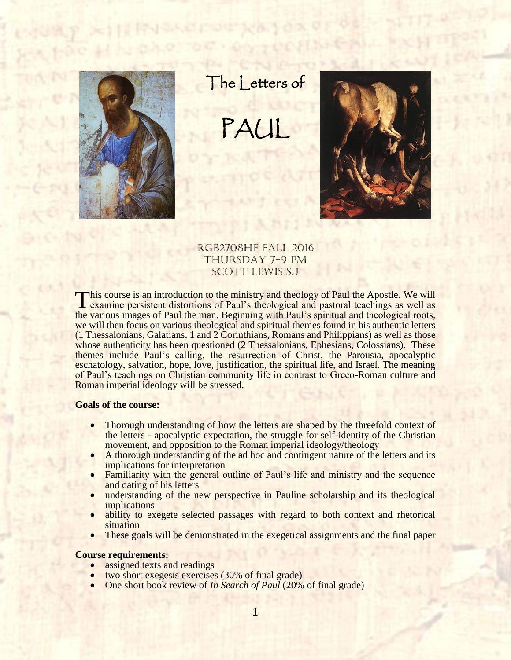

The Letters of

PAUL



RGB2708HF Fall 2016 Thursday 7-9 Pm SCOTT LEWIS S.J

This course is an introduction to the ministry and theology of Paul the Apostle. We will examine persistent distortions of Paul's theological and pastoral teachings as well as examine persistent distortions of Paul's theological and pastoral teachings as well as the various images of Paul the man. Beginning with Paul's spiritual and theological roots, we will then focus on various theological and spiritual themes found in his authentic letters (1 Thessalonians, Galatians, 1 and 2 Corinthians, Romans and Philippians) as well as those whose authenticity has been questioned (2 Thessalonians, Ephesians, Colossians). These themes include Paul's calling, the resurrection of Christ, the Parousia, apocalyptic eschatology, salvation, hope, love, justification, the spiritual life, and Israel. The meaning of Paul's teachings on Christian community life in contrast to Greco-Roman culture and Roman imperial ideology will be stressed.

### **Goals of the course:**

- Thorough understanding of how the letters are shaped by the threefold context of the letters - apocalyptic expectation, the struggle for self-identity of the Christian movement, and opposition to the Roman imperial ideology/theology
- A thorough understanding of the ad hoc and contingent nature of the letters and its implications for interpretation
- Familiarity with the general outline of Paul's life and ministry and the sequence and dating of his letters
- understanding of the new perspective in Pauline scholarship and its theological implications
- ability to exegete selected passages with regard to both context and rhetorical situation
- These goals will be demonstrated in the exegetical assignments and the final paper

## **Course requirements:**

- assigned texts and readings
- two short exegesis exercises (30% of final grade)
- One short book review of *In Search of Paul* (20% of final grade)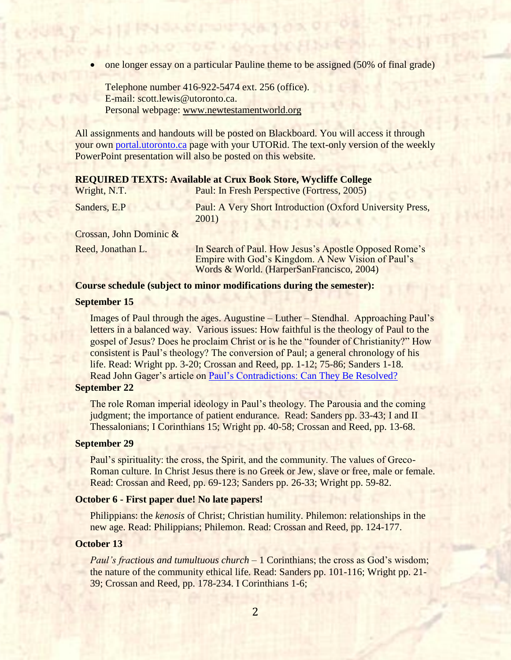one longer essay on a particular Pauline theme to be assigned (50% of final grade)

Telephone number 416-922-5474 ext. 256 (office). E-mail: [scott.lewis@utoronto.ca.](mailto:scott.lewis@utoronto.ca) Personal webpage: www[.newtestamentworld.org](http://ots.chass.utoronto.ca/users/smlewis)

All assignments and handouts will be posted on Blackboard. You will access it through your own [portal.utoronto.ca](file:///C:/Users/scott.lewis/Documents/Paul/portal.utoronto.ca) page with your UTORid. The text-only version of the weekly PowerPoint presentation will also be posted on this website.

### **REQUIRED TEXTS: Available at Crux Book Store, Wycliffe College**

| Wright, N.T.            | Paul: In Fresh Perspective (Fortress, 2005)                        |
|-------------------------|--------------------------------------------------------------------|
| Sanders, E.P            | Paul: A Very Short Introduction (Oxford University Press,<br>2001) |
| Crossan, John Dominic & |                                                                    |

Reed, Jonathan L. In Search of Paul. How Jesus's Apostle Opposed Rome's Empire with God's Kingdom. A New Vision of Paul's Words & World. (HarperSanFrancisco, 2004)

### **Course schedule (subject to minor modifications during the semester):**

## **September 15**

Images of Paul through the ages. Augustine – Luther – Stendhal. Approaching Paul's letters in a balanced way. Various issues: How faithful is the theology of Paul to the gospel of Jesus? Does he proclaim Christ or is he the "founder of Christianity?" How consistent is Paul's theology? The conversion of Paul; a general chronology of his life. Read: Wright pp. 3-20; Crossan and Reed, pp. 1-12; 75-86; Sanders 1-18. Read John Gager's article on [Paul's Contradictions: Can](http://www.jcrelations.net/en/?id=747) They Be Resolved?

## **September 22**

The role Roman imperial ideology in Paul's theology. The Parousia and the coming judgment; the importance of patient endurance. Read: Sanders pp. 33-43; I and II Thessalonians; I Corinthians 15; Wright pp. 40-58; Crossan and Reed, pp. 13-68.

#### **September 29**

Paul's spirituality: the cross, the Spirit, and the community. The values of Greco-Roman culture. In Christ Jesus there is no Greek or Jew, slave or free, male or female. Read: Crossan and Reed, pp. 69-123; Sanders pp. 26-33; Wright pp. 59-82.

### **October 6 - First paper due! No late papers!**

Philippians: the *kenosis* of Christ; Christian humility. Philemon: relationships in the new age. Read: Philippians; Philemon. Read: Crossan and Reed, pp. 124-177.

### **October 13**

*Paul's fractious and tumultuous church* – 1 Corinthians; the cross as God's wisdom; the nature of the community ethical life. Read: Sanders pp. 101-116; Wright pp. 21- 39; Crossan and Reed, pp. 178-234. I Corinthians 1-6;